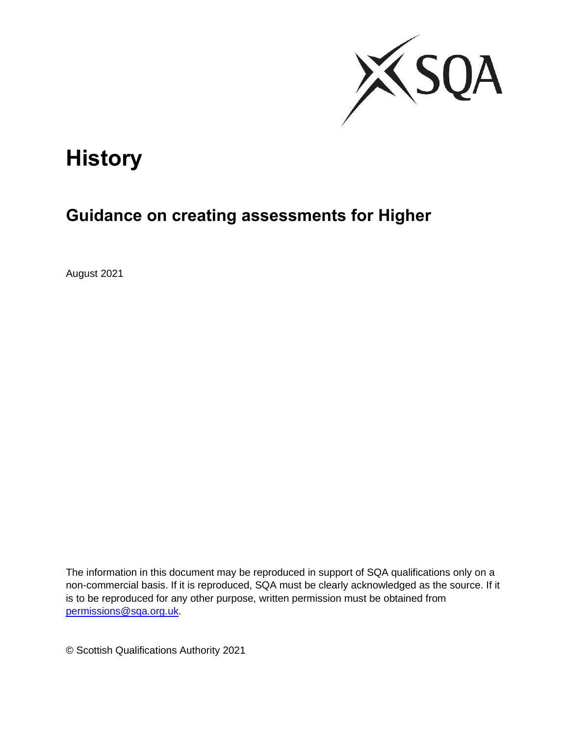

# **History**

## **Guidance on creating assessments for Higher**

August 2021

The information in this document may be reproduced in support of SQA qualifications only on a non-commercial basis. If it is reproduced, SQA must be clearly acknowledged as the source. If it is to be reproduced for any other purpose, written permission must be obtained from [permissions@sqa.org.uk.](file://///sqa3-hanover/Web%20Dragon/0%20N5-AH%20modification%20docs/2.%20Guidance%20docs/2.%20editing%20in%20progress/2.%20Comments%20received%20from%20QM/permissions@sqa.org.uk)

© Scottish Qualifications Authority 2021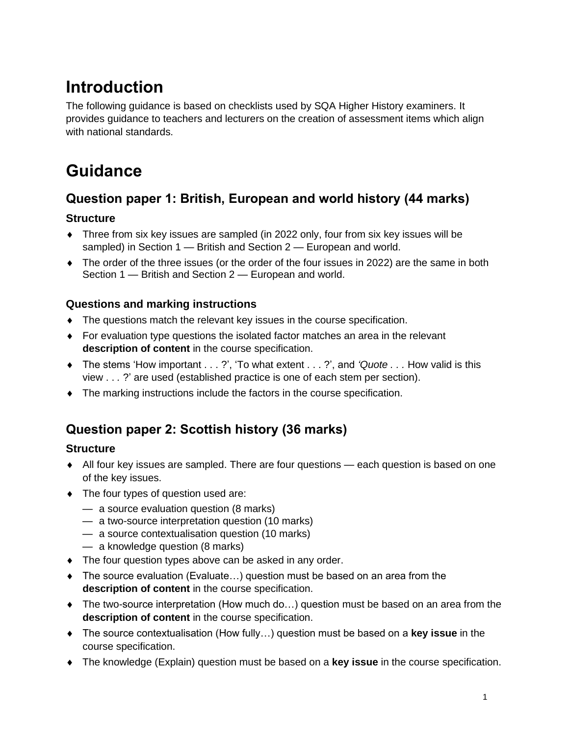## **Introduction**

The following guidance is based on checklists used by SQA Higher History examiners. It provides guidance to teachers and lecturers on the creation of assessment items which align with national standards.

## **Guidance**

## **Question paper 1: British, European and world history (44 marks)**

## **Structure**

- Three from six key issues are sampled (in 2022 only, four from six key issues will be sampled) in Section 1 — British and Section 2 — European and world.
- The order of the three issues (or the order of the four issues in 2022) are the same in both Section 1 — British and Section 2 — European and world.

## **Questions and marking instructions**

- The questions match the relevant key issues in the course specification.
- For evaluation type questions the isolated factor matches an area in the relevant **description of content** in the course specification.
- The stems 'How important . . . ?', 'To what extent . . . ?', and *'Quote . . .* How valid is this view . . *.* ?' are used (established practice is one of each stem per section).
- The marking instructions include the factors in the course specification.

## **Question paper 2: Scottish history (36 marks)**

## **Structure**

- All four key issues are sampled. There are four questions each question is based on one of the key issues.
- The four types of question used are:
	- a source evaluation question (8 marks)
	- a two-source interpretation question (10 marks)
	- a source contextualisation question (10 marks)
	- a knowledge question (8 marks)
- The four question types above can be asked in any order.
- The source evaluation (Evaluate…) question must be based on an area from the **description of content** in the course specification.
- ◆ The two-source interpretation (How much do...) question must be based on an area from the **description of content** in the course specification.
- The source contextualisation (How fully…) question must be based on a **key issue** in the course specification.
- The knowledge (Explain) question must be based on a **key issue** in the course specification.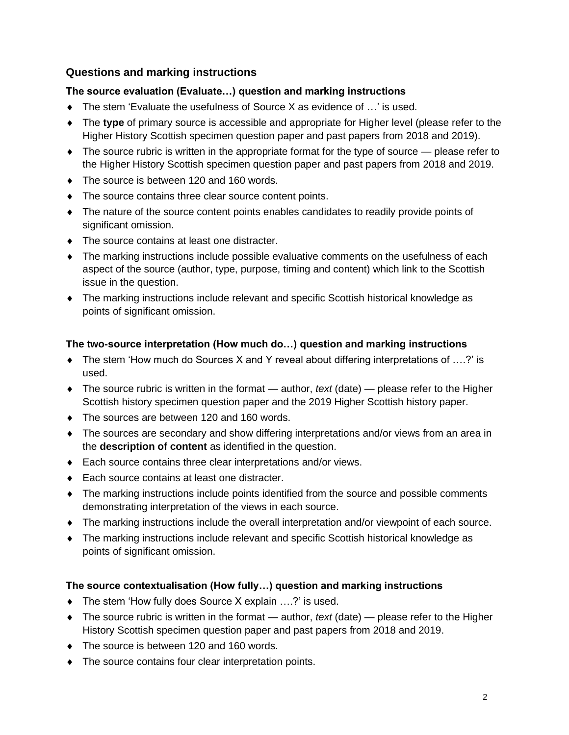### **Questions and marking instructions**

### **The source evaluation (Evaluate…) question and marking instructions**

- ◆ The stem 'Evaluate the usefulness of Source X as evidence of ...' is used.
- The **type** of primary source is accessible and appropriate for Higher level (please refer to the Higher History Scottish specimen question paper and past papers from 2018 and 2019).
- $\bullet$  The source rubric is written in the appropriate format for the type of source  $\bullet$  please refer to the Higher History Scottish specimen question paper and past papers from 2018 and 2019.
- $\bullet$  The source is between 120 and 160 words.
- The source contains three clear source content points.
- The nature of the source content points enables candidates to readily provide points of significant omission.
- The source contains at least one distracter.
- The marking instructions include possible evaluative comments on the usefulness of each aspect of the source (author, type, purpose, timing and content) which link to the Scottish issue in the question.
- The marking instructions include relevant and specific Scottish historical knowledge as points of significant omission.

### **The two-source interpretation (How much do…) question and marking instructions**

- The stem 'How much do Sources X and Y reveal about differing interpretations of ….?' is used.
- The source rubric is written in the format author, *text* (date) please refer to the Higher Scottish history specimen question paper and the 2019 Higher Scottish history paper.
- The sources are between 120 and 160 words.
- The sources are secondary and show differing interpretations and/or views from an area in the **description of content** as identified in the question.
- ◆ Each source contains three clear interpretations and/or views.
- ◆ Each source contains at least one distracter.
- The marking instructions include points identified from the source and possible comments demonstrating interpretation of the views in each source.
- The marking instructions include the overall interpretation and/or viewpoint of each source.
- The marking instructions include relevant and specific Scottish historical knowledge as points of significant omission.

#### **The source contextualisation (How fully…) question and marking instructions**

- ◆ The stem 'How fully does Source X explain ....?' is used.
- The source rubric is written in the format author, *text* (date) please refer to the Higher History Scottish specimen question paper and past papers from 2018 and 2019.
- The source is between 120 and 160 words.
- The source contains four clear interpretation points.